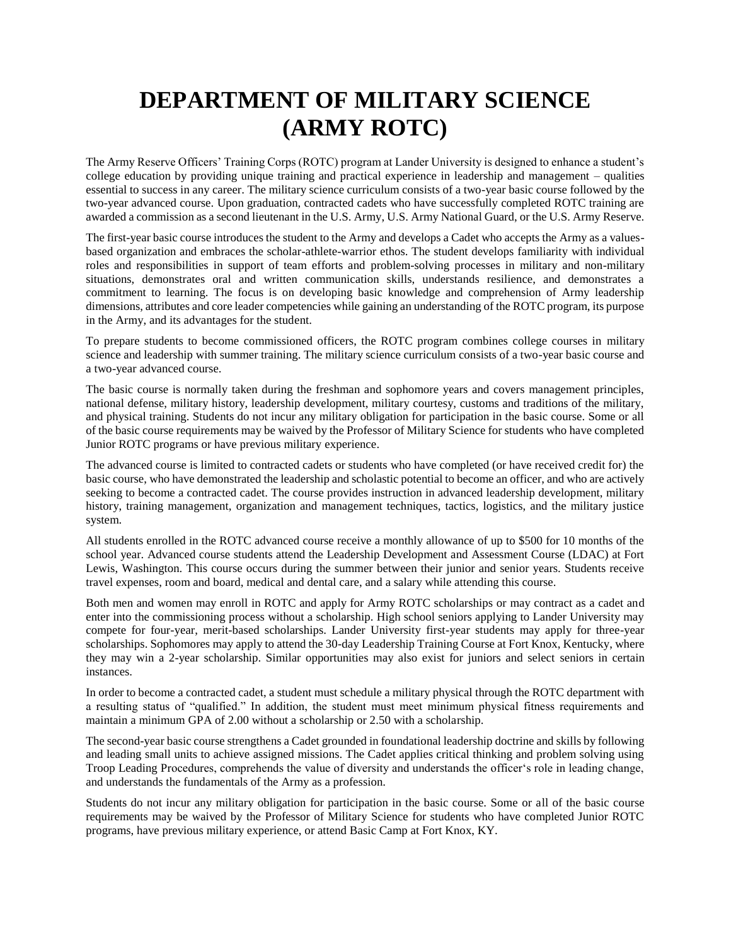## **DEPARTMENT OF MILITARY SCIENCE (ARMY ROTC)**

The Army Reserve Officers' Training Corps (ROTC) program at Lander University is designed to enhance a student's college education by providing unique training and practical experience in leadership and management – qualities essential to success in any career. The military science curriculum consists of a two-year basic course followed by the two-year advanced course. Upon graduation, contracted cadets who have successfully completed ROTC training are awarded a commission as a second lieutenant in the U.S. Army, U.S. Army National Guard, or the U.S. Army Reserve.

The first-year basic course introduces the student to the Army and develops a Cadet who accepts the Army as a valuesbased organization and embraces the scholar-athlete-warrior ethos. The student develops familiarity with individual roles and responsibilities in support of team efforts and problem-solving processes in military and non-military situations, demonstrates oral and written communication skills, understands resilience, and demonstrates a commitment to learning. The focus is on developing basic knowledge and comprehension of Army leadership dimensions, attributes and core leader competencies while gaining an understanding of the ROTC program, its purpose in the Army, and its advantages for the student.

To prepare students to become commissioned officers, the ROTC program combines college courses in military science and leadership with summer training. The military science curriculum consists of a two-year basic course and a two-year advanced course.

The basic course is normally taken during the freshman and sophomore years and covers management principles, national defense, military history, leadership development, military courtesy, customs and traditions of the military, and physical training. Students do not incur any military obligation for participation in the basic course. Some or all of the basic course requirements may be waived by the Professor of Military Science for students who have completed Junior ROTC programs or have previous military experience.

The advanced course is limited to contracted cadets or students who have completed (or have received credit for) the basic course, who have demonstrated the leadership and scholastic potential to become an officer, and who are actively seeking to become a contracted cadet. The course provides instruction in advanced leadership development, military history, training management, organization and management techniques, tactics, logistics, and the military justice system.

All students enrolled in the ROTC advanced course receive a monthly allowance of up to \$500 for 10 months of the school year. Advanced course students attend the Leadership Development and Assessment Course (LDAC) at Fort Lewis, Washington. This course occurs during the summer between their junior and senior years. Students receive travel expenses, room and board, medical and dental care, and a salary while attending this course.

Both men and women may enroll in ROTC and apply for Army ROTC scholarships or may contract as a cadet and enter into the commissioning process without a scholarship. High school seniors applying to Lander University may compete for four-year, merit-based scholarships. Lander University first-year students may apply for three-year scholarships. Sophomores may apply to attend the 30-day Leadership Training Course at Fort Knox, Kentucky, where they may win a 2-year scholarship. Similar opportunities may also exist for juniors and select seniors in certain instances.

In order to become a contracted cadet, a student must schedule a military physical through the ROTC department with a resulting status of "qualified." In addition, the student must meet minimum physical fitness requirements and maintain a minimum GPA of 2.00 without a scholarship or 2.50 with a scholarship.

The second-year basic course strengthens a Cadet grounded in foundational leadership doctrine and skills by following and leading small units to achieve assigned missions. The Cadet applies critical thinking and problem solving using Troop Leading Procedures, comprehends the value of diversity and understands the officer's role in leading change, and understands the fundamentals of the Army as a profession.

Students do not incur any military obligation for participation in the basic course. Some or all of the basic course requirements may be waived by the Professor of Military Science for students who have completed Junior ROTC programs, have previous military experience, or attend Basic Camp at Fort Knox, KY.